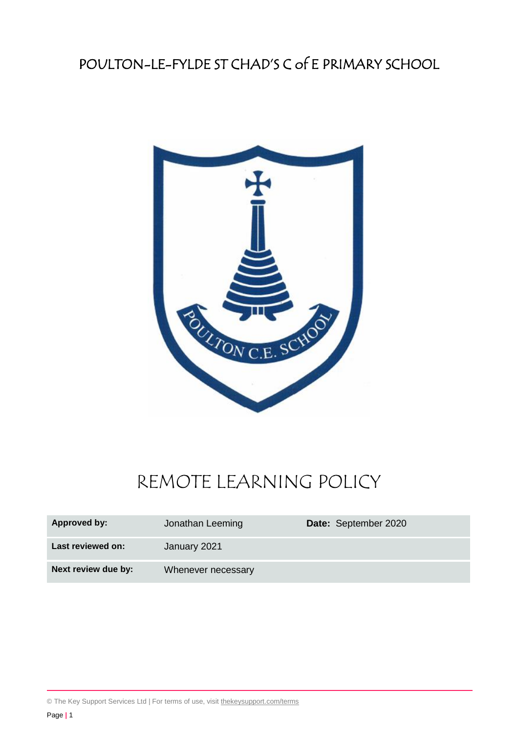# POULTON-LE-FYLDE ST CHAD'S C of E PRIMARY SCHOOL



# REMOTE LEARNING POLICY

| Approved by:        | Jonathan Leeming   | Date: September 2020 |
|---------------------|--------------------|----------------------|
| Last reviewed on:   | January 2021       |                      |
| Next review due by: | Whenever necessary |                      |

© The Key Support Services Ltd | For terms of use, visit [thekeysupport.com/terms](https://thekeysupport.com/terms-of-use)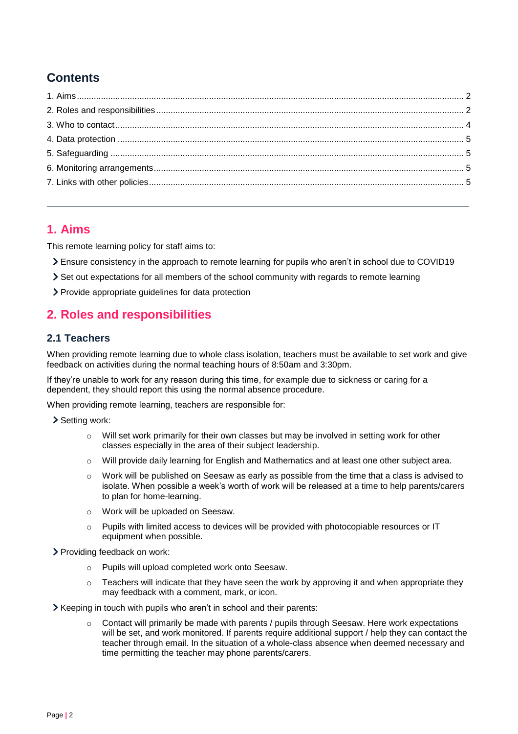# **Contents**

# <span id="page-1-0"></span>**1. Aims**

This remote learning policy for staff aims to:

- Ensure consistency in the approach to remote learning for pupils who aren't in school due to COVID19
- Set out expectations for all members of the school community with regards to remote learning
- > Provide appropriate guidelines for data protection

# <span id="page-1-1"></span>**2. Roles and responsibilities**

# **2.1 Teachers**

When providing remote learning due to whole class isolation, teachers must be available to set work and give feedback on activities during the normal teaching hours of 8:50am and 3:30pm.

If they're unable to work for any reason during this time, for example due to sickness or caring for a dependent, they should report this using the normal absence procedure.

When providing remote learning, teachers are responsible for:

> Setting work:

- $\circ$  Will set work primarily for their own classes but may be involved in setting work for other classes especially in the area of their subject leadership.
- o Will provide daily learning for English and Mathematics and at least one other subject area.
- $\circ$  Work will be published on Seesaw as early as possible from the time that a class is advised to isolate. When possible a week's worth of work will be released at a time to help parents/carers to plan for home-learning.
- o Work will be uploaded on Seesaw.
- o Pupils with limited access to devices will be provided with photocopiable resources or IT equipment when possible.

> Providing feedback on work:

- o Pupils will upload completed work onto Seesaw.
- $\circ$  Teachers will indicate that they have seen the work by approving it and when appropriate they may feedback with a comment, mark, or icon.
- Xeeping in touch with pupils who aren't in school and their parents:
	- Contact will primarily be made with parents / pupils through Seesaw. Here work expectations will be set, and work monitored. If parents require additional support / help they can contact the teacher through email. In the situation of a whole-class absence when deemed necessary and time permitting the teacher may phone parents/carers.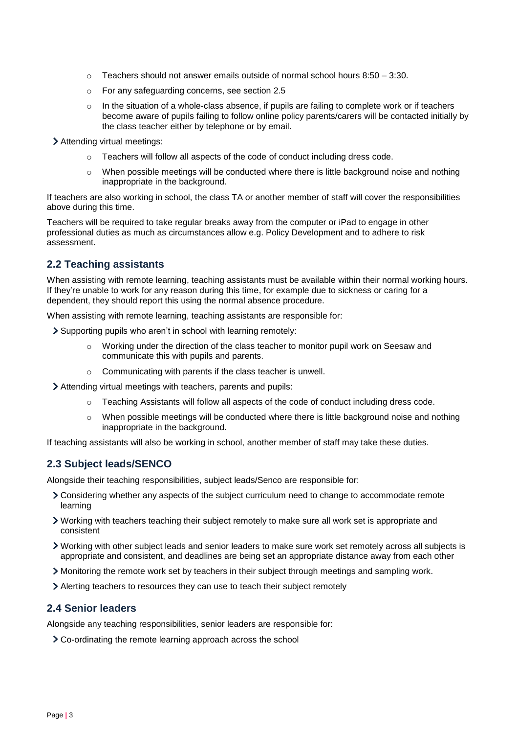- $\circ$  Teachers should not answer emails outside of normal school hours 8:50 3:30.
- o For any safeguarding concerns, see section 2.5
- $\circ$  In the situation of a whole-class absence, if pupils are failing to complete work or if teachers become aware of pupils failing to follow online policy parents/carers will be contacted initially by the class teacher either by telephone or by email.

Attending virtual meetings:

- $\circ$  Teachers will follow all aspects of the code of conduct including dress code.
- $\circ$  When possible meetings will be conducted where there is little background noise and nothing inappropriate in the background.

If teachers are also working in school, the class TA or another member of staff will cover the responsibilities above during this time.

Teachers will be required to take regular breaks away from the computer or iPad to engage in other professional duties as much as circumstances allow e.g. Policy Development and to adhere to risk assessment.

# **2.2 Teaching assistants**

When assisting with remote learning, teaching assistants must be available within their normal working hours. If they're unable to work for any reason during this time, for example due to sickness or caring for a dependent, they should report this using the normal absence procedure.

When assisting with remote learning, teaching assistants are responsible for:

- Supporting pupils who aren't in school with learning remotely:
	- o Working under the direction of the class teacher to monitor pupil work on Seesaw and communicate this with pupils and parents.
	- o Communicating with parents if the class teacher is unwell.

Attending virtual meetings with teachers, parents and pupils:

- o Teaching Assistants will follow all aspects of the code of conduct including dress code.
- $\circ$  When possible meetings will be conducted where there is little background noise and nothing inappropriate in the background.

If teaching assistants will also be working in school, another member of staff may take these duties.

# **2.3 Subject leads/SENCO**

Alongside their teaching responsibilities, subject leads/Senco are responsible for:

- Considering whether any aspects of the subject curriculum need to change to accommodate remote learning
- Working with teachers teaching their subject remotely to make sure all work set is appropriate and consistent
- Working with other subject leads and senior leaders to make sure work set remotely across all subjects is appropriate and consistent, and deadlines are being set an appropriate distance away from each other
- Monitoring the remote work set by teachers in their subject through meetings and sampling work.
- Alerting teachers to resources they can use to teach their subject remotely

# **2.4 Senior leaders**

Alongside any teaching responsibilities, senior leaders are responsible for:

Co-ordinating the remote learning approach across the school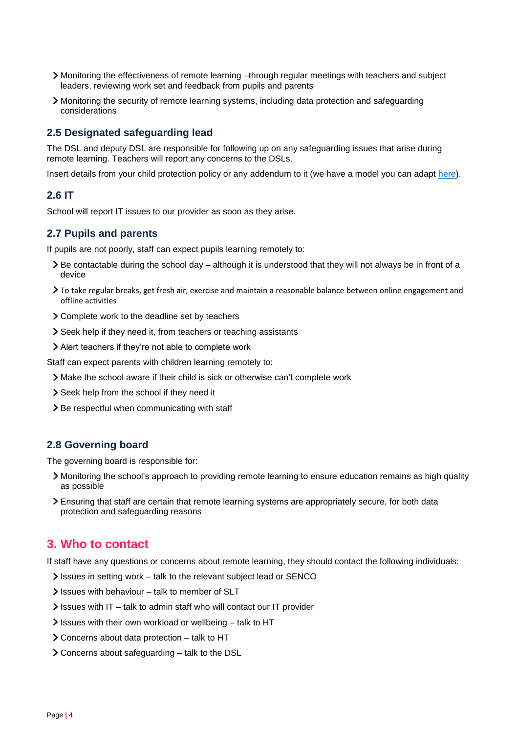- Monitoring the effectiveness of remote learning –through regular meetings with teachers and subject leaders, reviewing work set and feedback from pupils and parents
- Monitoring the security of remote learning systems, including data protection and safeguarding considerations

# **2.5 Designated safeguarding lead**

The DSL and deputy DSL are responsible for following up on any safeguarding issues that arise during remote learning. Teachers will report any concerns to the DSLs.

Insert details from your child protection policy or any addendum to it (we have a model you can adapt [here\)](https://schoolleaders.thekeysupport.com/uid/bf77333d-6f96-4ff5-acb2-175d1c195167/).

# **2.6 IT**

School will report IT issues to our provider as soon as they arise.

### **2.7 Pupils and parents**

If pupils are not poorly, staff can expect pupils learning remotely to:

- Be contactable during the school day although it is understood that they will not always be in front of a device
- To take regular breaks, get fresh air, exercise and maintain a reasonable balance between online engagement and offline activities
- Complete work to the deadline set by teachers
- Seek help if they need it, from teachers or teaching assistants
- Alert teachers if they're not able to complete work

Staff can expect parents with children learning remotely to:

- Make the school aware if their child is sick or otherwise can't complete work
- Seek help from the school if they need it
- > Be respectful when communicating with staff

#### **2.8 Governing board**

The governing board is responsible for:

- Monitoring the school's approach to providing remote learning to ensure education remains as high quality as possible
- Ensuring that staff are certain that remote learning systems are appropriately secure, for both data protection and safeguarding reasons

# <span id="page-3-0"></span>**3. Who to contact**

If staff have any questions or concerns about remote learning, they should contact the following individuals:

- Issues in setting work talk to the relevant subject lead or SENCO
- $\blacktriangleright$  Issues with behaviour talk to member of SLT
- $\ge$  Issues with IT talk to admin staff who will contact our IT provider
- $\ge$  Issues with their own workload or wellbeing talk to HT
- Concerns about data protection talk to HT
- Concerns about safeguarding talk to the DSL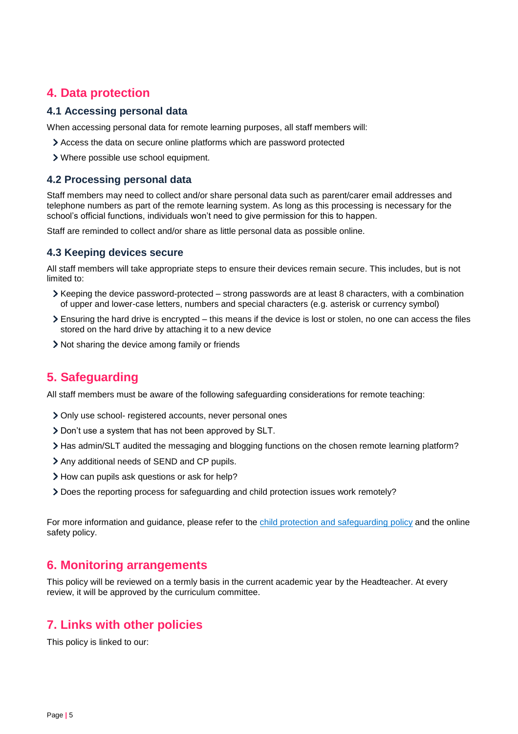# <span id="page-4-0"></span>**4. Data protection**

### **4.1 Accessing personal data**

When accessing personal data for remote learning purposes, all staff members will:

- Access the data on secure online platforms which are password protected
- Where possible use school equipment.

# **4.2 Processing personal data**

Staff members may need to collect and/or share personal data such as parent/carer email addresses and telephone numbers as part of the remote learning system. As long as this processing is necessary for the school's official functions, individuals won't need to give permission for this to happen.

Staff are reminded to collect and/or share as little personal data as possible online.

# **4.3 Keeping devices secure**

All staff members will take appropriate steps to ensure their devices remain secure. This includes, but is not limited to:

- $\blacktriangleright$  Keeping the device password-protected strong passwords are at least 8 characters, with a combination of upper and lower-case letters, numbers and special characters (e.g. asterisk or currency symbol)
- Ensuring the hard drive is encrypted this means if the device is lost or stolen, no one can access the files stored on the hard drive by attaching it to a new device
- Not sharing the device among family or friends

# <span id="page-4-1"></span>**5. Safeguarding**

All staff members must be aware of the following safeguarding considerations for remote teaching:

- Only use school- registered accounts, never personal ones
- Don't use a system that has not been approved by SLT.
- Has admin/SLT audited the messaging and blogging functions on the chosen remote learning platform?
- > Any additional needs of SEND and CP pupils.
- How can pupils ask questions or ask for help?
- Does the reporting process for safeguarding and child protection issues work remotely?

For more information and guidance, please refer to the child protection [and safeguarding](https://www.poultonstchadsce.lancs.sch.uk/wp-content/uploads/2020/10/SAFEGUARDING-CHILD-PROTECTION-POLICY-2020-2021.pdf) policy and the online safety policy.

# <span id="page-4-2"></span>**6. Monitoring arrangements**

This policy will be reviewed on a termly basis in the current academic year by the Headteacher. At every review, it will be approved by the curriculum committee.

# <span id="page-4-3"></span>**7. Links with other policies**

This policy is linked to our: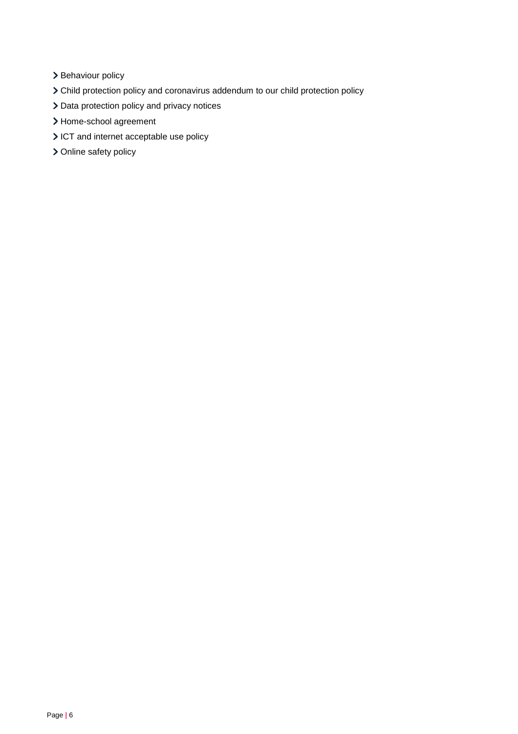- > Behaviour policy
- Child protection policy and coronavirus addendum to our child protection policy
- > Data protection policy and privacy notices
- > Home-school agreement
- ICT and internet acceptable use policy
- > Online safety policy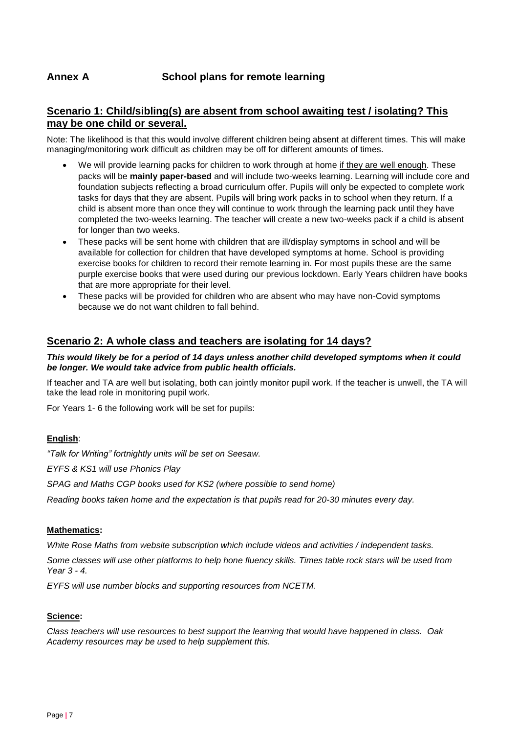# **Scenario 1: Child/sibling(s) are absent from school awaiting test / isolating? This may be one child or several.**

Note: The likelihood is that this would involve different children being absent at different times. This will make managing/monitoring work difficult as children may be off for different amounts of times.

- We will provide learning packs for children to work through at home if they are well enough. These packs will be **mainly paper-based** and will include two-weeks learning. Learning will include core and foundation subjects reflecting a broad curriculum offer. Pupils will only be expected to complete work tasks for days that they are absent. Pupils will bring work packs in to school when they return. If a child is absent more than once they will continue to work through the learning pack until they have completed the two-weeks learning. The teacher will create a new two-weeks pack if a child is absent for longer than two weeks.
- These packs will be sent home with children that are ill/display symptoms in school and will be available for collection for children that have developed symptoms at home. School is providing exercise books for children to record their remote learning in. For most pupils these are the same purple exercise books that were used during our previous lockdown. Early Years children have books that are more appropriate for their level.
- These packs will be provided for children who are absent who may have non-Covid symptoms because we do not want children to fall behind.

# **Scenario 2: A whole class and teachers are isolating for 14 days?**

#### *This would likely be for a period of 14 days unless another child developed symptoms when it could be longer. We would take advice from public health officials.*

If teacher and TA are well but isolating, both can jointly monitor pupil work. If the teacher is unwell, the TA will take the lead role in monitoring pupil work.

For Years 1- 6 the following work will be set for pupils:

#### **English**:

*"Talk for Writing" fortnightly units will be set on Seesaw.*

*EYFS & KS1 will use Phonics Play*

*SPAG and Maths CGP books used for KS2 (where possible to send home)*

*Reading books taken home and the expectation is that pupils read for 20-30 minutes every day.*

#### **Mathematics:**

*White Rose Maths from website subscription which include videos and activities / independent tasks.*

*Some classes will use other platforms to help hone fluency skills. Times table rock stars will be used from Year 3 - 4.*

*EYFS will use number blocks and supporting resources from NCETM.*

#### **Science:**

*Class teachers will use resources to best support the learning that would have happened in class. Oak Academy resources may be used to help supplement this.*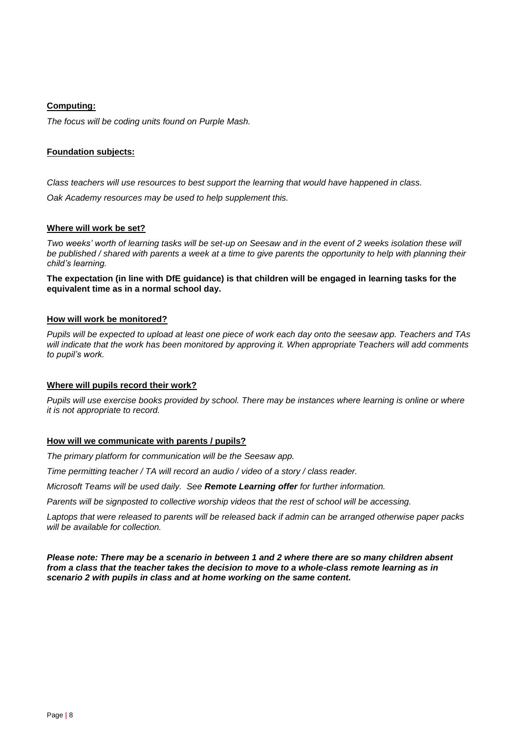#### **Computing:**

*The focus will be coding units found on Purple Mash.*

#### **Foundation subjects:**

*Class teachers will use resources to best support the learning that would have happened in class.* 

*Oak Academy resources may be used to help supplement this.*

#### **Where will work be set?**

*Two weeks' worth of learning tasks will be set-up on Seesaw and in the event of 2 weeks isolation these will be published / shared with parents a week at a time to give parents the opportunity to help with planning their child's learning.*

**The expectation (in line with DfE guidance) is that children will be engaged in learning tasks for the equivalent time as in a normal school day.**

#### **How will work be monitored?**

*Pupils will be expected to upload at least one piece of work each day onto the seesaw app. Teachers and TAs will indicate that the work has been monitored by approving it. When appropriate Teachers will add comments to pupil's work.* 

#### **Where will pupils record their work?**

*Pupils will use exercise books provided by school. There may be instances where learning is online or where it is not appropriate to record.* 

#### **How will we communicate with parents / pupils?**

*The primary platform for communication will be the Seesaw app.* 

*Time permitting teacher / TA will record an audio / video of a story / class reader.* 

*Microsoft Teams will be used daily. See Remote Learning offer for further information.*

*Parents will be signposted to collective worship videos that the rest of school will be accessing.*

*Laptops that were released to parents will be released back if admin can be arranged otherwise paper packs will be available for collection.*

*Please note: There may be a scenario in between 1 and 2 where there are so many children absent from a class that the teacher takes the decision to move to a whole-class remote learning as in scenario 2 with pupils in class and at home working on the same content.*